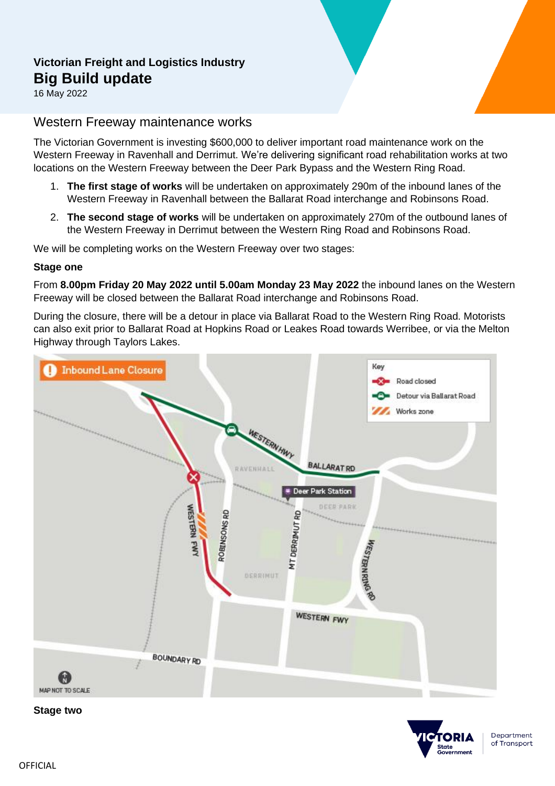## **Victorian Freight and Logistics Industry Big Build update**

16 May 2022

## Western Freeway maintenance works

The Victorian Government is investing \$600,000 to deliver important road maintenance work on the Western Freeway in Ravenhall and Derrimut. We're delivering significant road rehabilitation works at two locations on the Western Freeway between the Deer Park Bypass and the Western Ring Road.

- 1. **The first stage of works** will be undertaken on approximately 290m of the inbound lanes of the Western Freeway in Ravenhall between the Ballarat Road interchange and Robinsons Road.
- 2. **The second stage of works** will be undertaken on approximately 270m of the outbound lanes of the Western Freeway in Derrimut between the Western Ring Road and Robinsons Road.

We will be completing works on the Western Freeway over two stages:

## **Stage one**

From **8.00pm Friday 20 May 2022 until 5.00am Monday 23 May 2022** the inbound lanes on the Western Freeway will be closed between the Ballarat Road interchange and Robinsons Road.

During the closure, there will be a detour in place via Ballarat Road to the Western Ring Road. Motorists can also exit prior to Ballarat Road at Hopkins Road or Leakes Road towards Werribee, or via the Melton Highway through Taylors Lakes.



**Stage two**